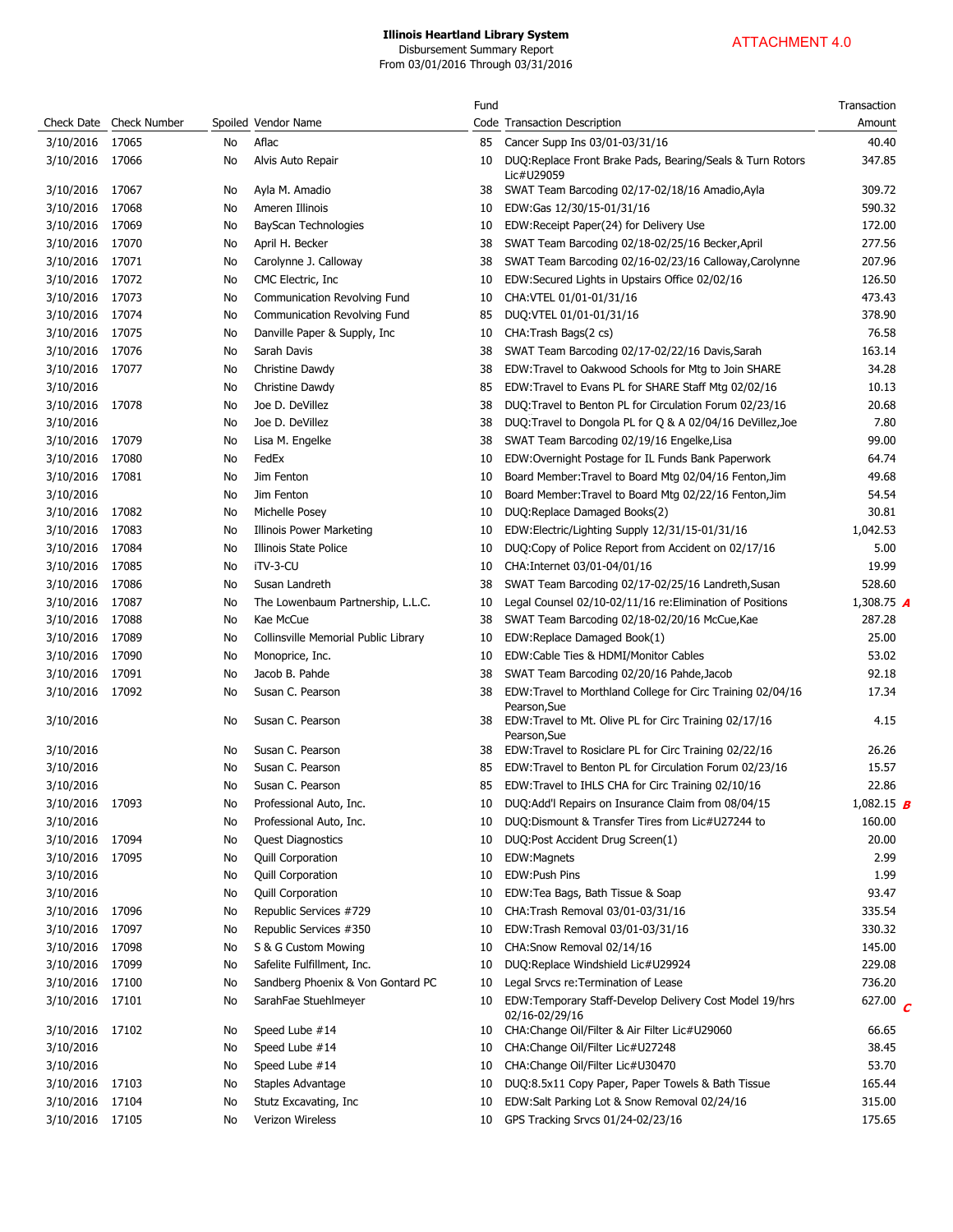|                 |                         |    |                                      | Fund |                                                                          | Transaction       |
|-----------------|-------------------------|----|--------------------------------------|------|--------------------------------------------------------------------------|-------------------|
|                 | Check Date Check Number |    | Spoiled Vendor Name                  |      | Code Transaction Description                                             | Amount            |
| 3/10/2016       | 17065                   | No | Aflac                                | 85   | Cancer Supp Ins 03/01-03/31/16                                           | 40.40             |
| 3/10/2016 17066 |                         | No | Alvis Auto Repair                    | 10   | DUQ:Replace Front Brake Pads, Bearing/Seals & Turn Rotors<br>Lic#U29059  | 347.85            |
| 3/10/2016       | 17067                   | No | Ayla M. Amadio                       | 38   | SWAT Team Barcoding 02/17-02/18/16 Amadio, Ayla                          | 309.72            |
| 3/10/2016       | 17068                   | No | Ameren Illinois                      | 10   | EDW:Gas 12/30/15-01/31/16                                                | 590.32            |
| 3/10/2016       | 17069                   | No | BayScan Technologies                 | 10   | EDW:Receipt Paper(24) for Delivery Use                                   | 172.00            |
| 3/10/2016       | 17070                   | No | April H. Becker                      | 38   | SWAT Team Barcoding 02/18-02/25/16 Becker, April                         | 277.56            |
| 3/10/2016       | 17071                   | No | Carolynne J. Calloway                | 38   | SWAT Team Barcoding 02/16-02/23/16 Calloway, Carolynne                   | 207.96            |
| 3/10/2016       | 17072                   | No | CMC Electric, Inc.                   | 10   | EDW:Secured Lights in Upstairs Office 02/02/16                           | 126.50            |
| 3/10/2016       | 17073                   | No | Communication Revolving Fund         | 10   | CHA:VTEL 01/01-01/31/16                                                  | 473.43            |
| 3/10/2016       | 17074                   | No | Communication Revolving Fund         | 85   | DUQ:VTEL 01/01-01/31/16                                                  | 378.90            |
| 3/10/2016       | 17075                   | No | Danville Paper & Supply, Inc         | 10   | CHA: Trash Bags(2 cs)                                                    | 76.58             |
| 3/10/2016       | 17076                   | No | Sarah Davis                          | 38   | SWAT Team Barcoding 02/17-02/22/16 Davis, Sarah                          | 163.14            |
| 3/10/2016       | 17077                   | No | Christine Dawdy                      | 38   | EDW:Travel to Oakwood Schools for Mtg to Join SHARE                      | 34.28             |
| 3/10/2016       |                         | No | Christine Dawdy                      | 85   | EDW:Travel to Evans PL for SHARE Staff Mtg 02/02/16                      | 10.13             |
| 3/10/2016       | 17078                   | No | Joe D. DeVillez                      | 38   | DUQ: Travel to Benton PL for Circulation Forum 02/23/16                  | 20.68             |
| 3/10/2016       |                         | No | Joe D. DeVillez                      | 38   | DUQ:Travel to Dongola PL for Q & A 02/04/16 DeVillez, Joe                | 7.80              |
| 3/10/2016       | 17079                   | No | Lisa M. Engelke                      | 38   | SWAT Team Barcoding 02/19/16 Engelke, Lisa                               | 99.00             |
| 3/10/2016       | 17080                   | No | FedEx                                | 10   | EDW:Overnight Postage for IL Funds Bank Paperwork                        | 64.74             |
| 3/10/2016       | 17081                   | No | Jim Fenton                           | 10   | Board Member: Travel to Board Mtg 02/04/16 Fenton, Jim                   | 49.68             |
| 3/10/2016       |                         | No | Jim Fenton                           | 10   | Board Member: Travel to Board Mtg 02/22/16 Fenton, Jim                   | 54.54             |
| 3/10/2016       | 17082                   | No | Michelle Posey                       | 10   | DUQ:Replace Damaged Books(2)                                             | 30.81             |
| 3/10/2016       | 17083                   | No | <b>Illinois Power Marketing</b>      | 10   | EDW:Electric/Lighting Supply 12/31/15-01/31/16                           | 1,042.53          |
| 3/10/2016       | 17084                   | No | Illinois State Police                | 10   | DUQ:Copy of Police Report from Accident on 02/17/16                      | 5.00              |
| 3/10/2016       | 17085                   | No | iTV-3-CU                             | 10   | CHA: Internet 03/01-04/01/16                                             | 19.99             |
| 3/10/2016       | 17086                   | No | Susan Landreth                       | 38   | SWAT Team Barcoding 02/17-02/25/16 Landreth, Susan                       | 528.60            |
| 3/10/2016       | 17087                   | No | The Lowenbaum Partnership, L.L.C.    | 10   | Legal Counsel 02/10-02/11/16 re: Elimination of Positions                | 1,308.75 $\bm{A}$ |
| 3/10/2016       | 17088                   | No | Kae McCue                            | 38   | SWAT Team Barcoding 02/18-02/20/16 McCue, Kae                            | 287.28            |
| 3/10/2016       | 17089                   | No | Collinsville Memorial Public Library | 10   | EDW:Replace Damaged Book(1)                                              | 25.00             |
| 3/10/2016       | 17090                   | No | Monoprice, Inc.                      | 10   | EDW:Cable Ties & HDMI/Monitor Cables                                     | 53.02             |
| 3/10/2016       | 17091                   | No | Jacob B. Pahde                       | 38   | SWAT Team Barcoding 02/20/16 Pahde, Jacob                                | 92.18             |
| 3/10/2016       | 17092                   | No | Susan C. Pearson                     | 38   | EDW:Travel to Morthland College for Circ Training 02/04/16               | 17.34             |
| 3/10/2016       |                         | No | Susan C. Pearson                     | 38   | Pearson, Sue<br>EDW: Travel to Mt. Olive PL for Circ Training 02/17/16   | 4.15              |
|                 |                         |    |                                      |      | Pearson, Sue                                                             |                   |
| 3/10/2016       |                         | No | Susan C. Pearson                     | 38   | EDW:Travel to Rosiclare PL for Circ Training 02/22/16                    | 26.26             |
| 3/10/2016       |                         | No | Susan C. Pearson                     | 85   | EDW:Travel to Benton PL for Circulation Forum 02/23/16                   | 15.57             |
| 3/10/2016       |                         | No | Susan C. Pearson                     | 85   | EDW: Travel to IHLS CHA for Circ Training 02/10/16                       | 22.86             |
| 3/10/2016       | 17093                   | No | Professional Auto, Inc.              | 10   | DUQ:Add'l Repairs on Insurance Claim from 08/04/15                       | 1,082.15 <b>B</b> |
| 3/10/2016       |                         | No | Professional Auto, Inc.              | 10   | DUQ:Dismount & Transfer Tires from Lic#U27244 to                         | 160.00            |
| 3/10/2016       | 17094                   | No | Quest Diagnostics                    | 10   | DUQ:Post Accident Drug Screen(1)                                         | 20.00             |
| 3/10/2016       | 17095                   | No | Quill Corporation                    | 10   | EDW:Magnets                                                              | 2.99              |
| 3/10/2016       |                         | No | Quill Corporation                    | 10   | EDW:Push Pins                                                            | 1.99              |
| 3/10/2016       |                         | No | Quill Corporation                    | 10   | EDW:Tea Bags, Bath Tissue & Soap                                         | 93.47             |
| 3/10/2016       | 17096                   | No | Republic Services #729               | 10   | CHA: Trash Removal 03/01-03/31/16                                        | 335.54            |
| 3/10/2016       | 17097                   | No | Republic Services #350               | 10   | EDW:Trash Removal 03/01-03/31/16                                         | 330.32            |
| 3/10/2016       | 17098                   | No | S & G Custom Mowing                  | 10   | CHA:Snow Removal 02/14/16                                                | 145.00            |
| 3/10/2016       | 17099                   | No | Safelite Fulfillment, Inc.           | 10   | DUQ:Replace Windshield Lic#U29924                                        | 229.08            |
| 3/10/2016       | 17100                   | No | Sandberg Phoenix & Von Gontard PC    | 10   | Legal Srvcs re: Termination of Lease                                     | 736.20            |
| 3/10/2016       | 17101                   | No | SarahFae Stuehlmeyer                 | 10   | EDW:Temporary Staff-Develop Delivery Cost Model 19/hrs<br>02/16-02/29/16 | 627.00 $C$        |
| 3/10/2016       | 17102                   | No | Speed Lube #14                       | 10   | CHA:Change Oil/Filter & Air Filter Lic#U29060                            | 66.65             |
| 3/10/2016       |                         | No | Speed Lube #14                       | 10   | CHA: Change Oil/Filter Lic#U27248                                        | 38.45             |
| 3/10/2016       |                         | No | Speed Lube #14                       | 10   | CHA:Change Oil/Filter Lic#U30470                                         | 53.70<br>165.44   |
| 3/10/2016       | 17103                   | No | Staples Advantage                    | 10   | DUQ:8.5x11 Copy Paper, Paper Towels & Bath Tissue                        |                   |
| 3/10/2016       | 17104                   | No | Stutz Excavating, Inc                | 10   | EDW:Salt Parking Lot & Snow Removal 02/24/16                             | 315.00            |
| 3/10/2016       | 17105                   | No | Verizon Wireless                     | 10   | GPS Tracking Srvcs 01/24-02/23/16                                        | 175.65            |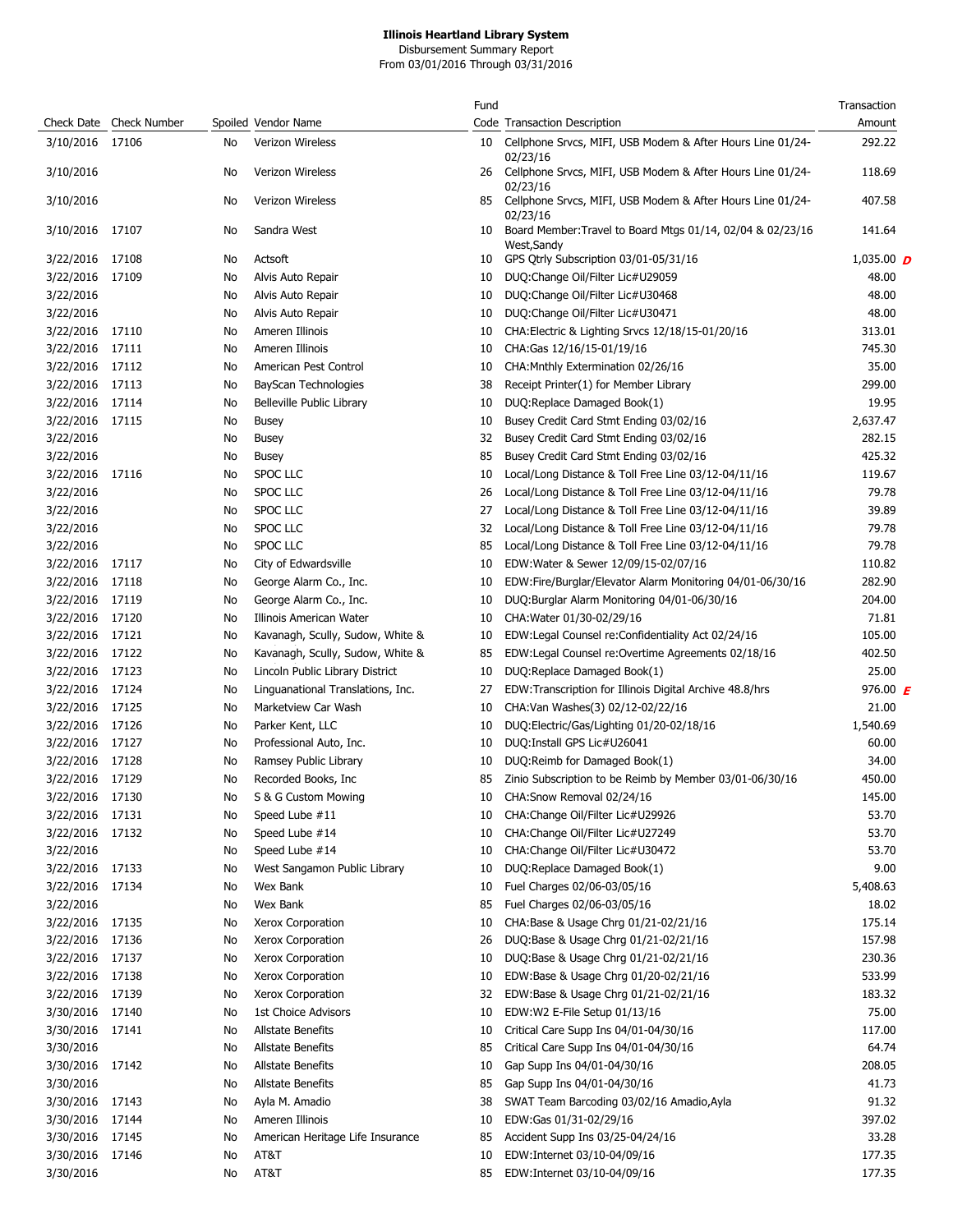Disbursement Summary Report From 03/01/2016 Through 03/31/2016

|                 |                         |    |                                   | Fund |                                                                           | Transaction  |
|-----------------|-------------------------|----|-----------------------------------|------|---------------------------------------------------------------------------|--------------|
|                 | Check Date Check Number |    | Spoiled Vendor Name               |      | Code Transaction Description                                              | Amount       |
| 3/10/2016 17106 |                         | No | Verizon Wireless                  | 10   | Cellphone Srvcs, MIFI, USB Modem & After Hours Line 01/24-<br>02/23/16    | 292.22       |
| 3/10/2016       |                         | No | <b>Verizon Wireless</b>           | 26   | Cellphone Srvcs, MIFI, USB Modem & After Hours Line 01/24-<br>02/23/16    | 118.69       |
| 3/10/2016       |                         | No | Verizon Wireless                  | 85   | Cellphone Srvcs, MIFI, USB Modem & After Hours Line 01/24-<br>02/23/16    | 407.58       |
| 3/10/2016 17107 |                         | No | Sandra West                       | 10   | Board Member: Travel to Board Mtgs 01/14, 02/04 & 02/23/16<br>West, Sandy | 141.64       |
| 3/22/2016       | 17108                   | No | Actsoft                           | 10   | GPS Qtrly Subscription 03/01-05/31/16                                     | 1,035.00 $D$ |
| 3/22/2016       | 17109                   | No | Alvis Auto Repair                 | 10   | DUQ:Change Oil/Filter Lic#U29059                                          | 48.00        |
| 3/22/2016       |                         | No | Alvis Auto Repair                 | 10   | DUQ:Change Oil/Filter Lic#U30468                                          | 48.00        |
| 3/22/2016       |                         | No | Alvis Auto Repair                 | 10   | DUQ:Change Oil/Filter Lic#U30471                                          | 48.00        |
| 3/22/2016       | 17110                   | No | Ameren Illinois                   | 10   | CHA: Electric & Lighting Srvcs 12/18/15-01/20/16                          | 313.01       |
| 3/22/2016       | 17111                   | No | Ameren Illinois                   | 10   | CHA:Gas 12/16/15-01/19/16                                                 | 745.30       |
| 3/22/2016       | 17112                   | No | American Pest Control             | 10   | CHA: Mnthly Extermination 02/26/16                                        | 35.00        |
| 3/22/2016       | 17113                   | No | BayScan Technologies              | 38   | Receipt Printer(1) for Member Library                                     | 299.00       |
| 3/22/2016       | 17114                   | No | Belleville Public Library         | 10   | DUQ:Replace Damaged Book(1)                                               | 19.95        |
| 3/22/2016       | 17115                   | No | Busey                             | 10   | Busey Credit Card Stmt Ending 03/02/16                                    | 2,637.47     |
| 3/22/2016       |                         | No | Busey                             | 32   | Busey Credit Card Stmt Ending 03/02/16                                    | 282.15       |
| 3/22/2016       |                         | No | <b>Busey</b>                      | 85   | Busey Credit Card Stmt Ending 03/02/16                                    | 425.32       |
| 3/22/2016       | 17116                   | No | SPOC LLC                          | 10   | Local/Long Distance & Toll Free Line 03/12-04/11/16                       | 119.67       |
| 3/22/2016       |                         | No | SPOC LLC                          | 26   | Local/Long Distance & Toll Free Line 03/12-04/11/16                       | 79.78        |
| 3/22/2016       |                         | No | SPOC LLC                          | 27   | Local/Long Distance & Toll Free Line 03/12-04/11/16                       | 39.89        |
| 3/22/2016       |                         | No | <b>SPOC LLC</b>                   | 32   | Local/Long Distance & Toll Free Line 03/12-04/11/16                       | 79.78        |
| 3/22/2016       |                         | No | <b>SPOC LLC</b>                   | 85   | Local/Long Distance & Toll Free Line 03/12-04/11/16                       | 79.78        |
| 3/22/2016       | 17117                   | No | City of Edwardsville              | 10   | EDW: Water & Sewer 12/09/15-02/07/16                                      | 110.82       |
| 3/22/2016       | 17118                   | No | George Alarm Co., Inc.            | 10   | EDW:Fire/Burglar/Elevator Alarm Monitoring 04/01-06/30/16                 | 282.90       |
| 3/22/2016       | 17119                   | No | George Alarm Co., Inc.            | 10   | DUQ:Burglar Alarm Monitoring 04/01-06/30/16                               | 204.00       |
| 3/22/2016       | 17120                   | No | Illinois American Water           | 10   | CHA: Water 01/30-02/29/16                                                 | 71.81        |
| 3/22/2016       | 17121                   | No | Kavanagh, Scully, Sudow, White &  | 10   | EDW:Legal Counsel re:Confidentiality Act 02/24/16                         | 105.00       |
| 3/22/2016       | 17122                   | No | Kavanagh, Scully, Sudow, White &  | 85   | EDW:Legal Counsel re:Overtime Agreements 02/18/16                         | 402.50       |
| 3/22/2016       | 17123                   | No | Lincoln Public Library District   | 10   | DUQ:Replace Damaged Book(1)                                               | 25.00        |
| 3/22/2016       | 17124                   | No | Linguanational Translations, Inc. | 27   | EDW:Transcription for Illinois Digital Archive 48.8/hrs                   | 976.00 $E$   |
| 3/22/2016       | 17125                   | No | Marketview Car Wash               | 10   | CHA: Van Washes(3) 02/12-02/22/16                                         | 21.00        |
| 3/22/2016 17126 |                         | No | Parker Kent, LLC                  | 10   | DUQ:Electric/Gas/Lighting 01/20-02/18/16                                  | 1,540.69     |
| 3/22/2016 17127 |                         | No | Professional Auto, Inc.           | 10   | DUQ: Install GPS Lic#U26041                                               | 60.00        |
| 3/22/2016       | 17128                   | No | Ramsey Public Library             | 10   | DUQ:Reimb for Damaged Book(1)                                             | 34.00        |
| 3/22/2016       | 17129                   | No | Recorded Books, Inc.              | 85   | Zinio Subscription to be Reimb by Member 03/01-06/30/16                   | 450.00       |
| 3/22/2016       | 17130                   | No | S & G Custom Mowing               | 10   | CHA:Snow Removal 02/24/16                                                 | 145.00       |
| 3/22/2016       | 17131                   | No | Speed Lube #11                    | 10   | CHA: Change Oil/Filter Lic#U29926                                         | 53.70        |
| 3/22/2016       | 17132                   | No | Speed Lube #14                    | 10   | CHA: Change Oil/Filter Lic#U27249                                         | 53.70        |
| 3/22/2016       |                         | No | Speed Lube #14                    | 10   | CHA: Change Oil/Filter Lic#U30472                                         | 53.70        |
| 3/22/2016       | 17133                   | No | West Sangamon Public Library      | 10   | DUQ:Replace Damaged Book(1)                                               | 9.00         |
| 3/22/2016       | 17134                   | No | Wex Bank                          | 10   | Fuel Charges 02/06-03/05/16                                               | 5,408.63     |
| 3/22/2016       |                         | No | Wex Bank                          | 85   | Fuel Charges 02/06-03/05/16                                               | 18.02        |
| 3/22/2016       | 17135                   | No | Xerox Corporation                 | 10   | CHA:Base & Usage Chrg 01/21-02/21/16                                      | 175.14       |
| 3/22/2016       | 17136                   | No | Xerox Corporation                 | 26   | DUQ:Base & Usage Chrg 01/21-02/21/16                                      | 157.98       |
| 3/22/2016       | 17137                   | No | Xerox Corporation                 | 10   | DUQ:Base & Usage Chrg 01/21-02/21/16                                      | 230.36       |
| 3/22/2016       | 17138                   | No | Xerox Corporation                 | 10   | EDW:Base & Usage Chrg 01/20-02/21/16                                      | 533.99       |
| 3/22/2016       | 17139                   | No | Xerox Corporation                 | 32   | EDW:Base & Usage Chrg 01/21-02/21/16                                      | 183.32       |
| 3/30/2016       | 17140                   | No | 1st Choice Advisors               | 10   | EDW:W2 E-File Setup 01/13/16                                              | 75.00        |
| 3/30/2016       | 17141                   | No | <b>Allstate Benefits</b>          | 10   | Critical Care Supp Ins 04/01-04/30/16                                     | 117.00       |
| 3/30/2016       |                         | No | <b>Allstate Benefits</b>          | 85   | Critical Care Supp Ins 04/01-04/30/16                                     | 64.74        |
| 3/30/2016       | 17142                   | No | <b>Allstate Benefits</b>          | 10   | Gap Supp Ins 04/01-04/30/16                                               | 208.05       |
| 3/30/2016       |                         | No | <b>Allstate Benefits</b>          | 85   | Gap Supp Ins 04/01-04/30/16                                               | 41.73        |
| 3/30/2016       | 17143                   | No | Ayla M. Amadio                    | 38   | SWAT Team Barcoding 03/02/16 Amadio, Ayla                                 | 91.32        |
| 3/30/2016       | 17144                   | No | Ameren Illinois                   | 10   | EDW:Gas 01/31-02/29/16                                                    | 397.02       |
| 3/30/2016       | 17145                   | No | American Heritage Life Insurance  | 85   | Accident Supp Ins 03/25-04/24/16                                          | 33.28        |
| 3/30/2016       | 17146                   | No | AT&T                              | 10   | EDW:Internet 03/10-04/09/16                                               | 177.35       |
| 3/30/2016       |                         | No | AT&T                              | 85   | EDW:Internet 03/10-04/09/16                                               | 177.35       |
|                 |                         |    |                                   |      |                                                                           |              |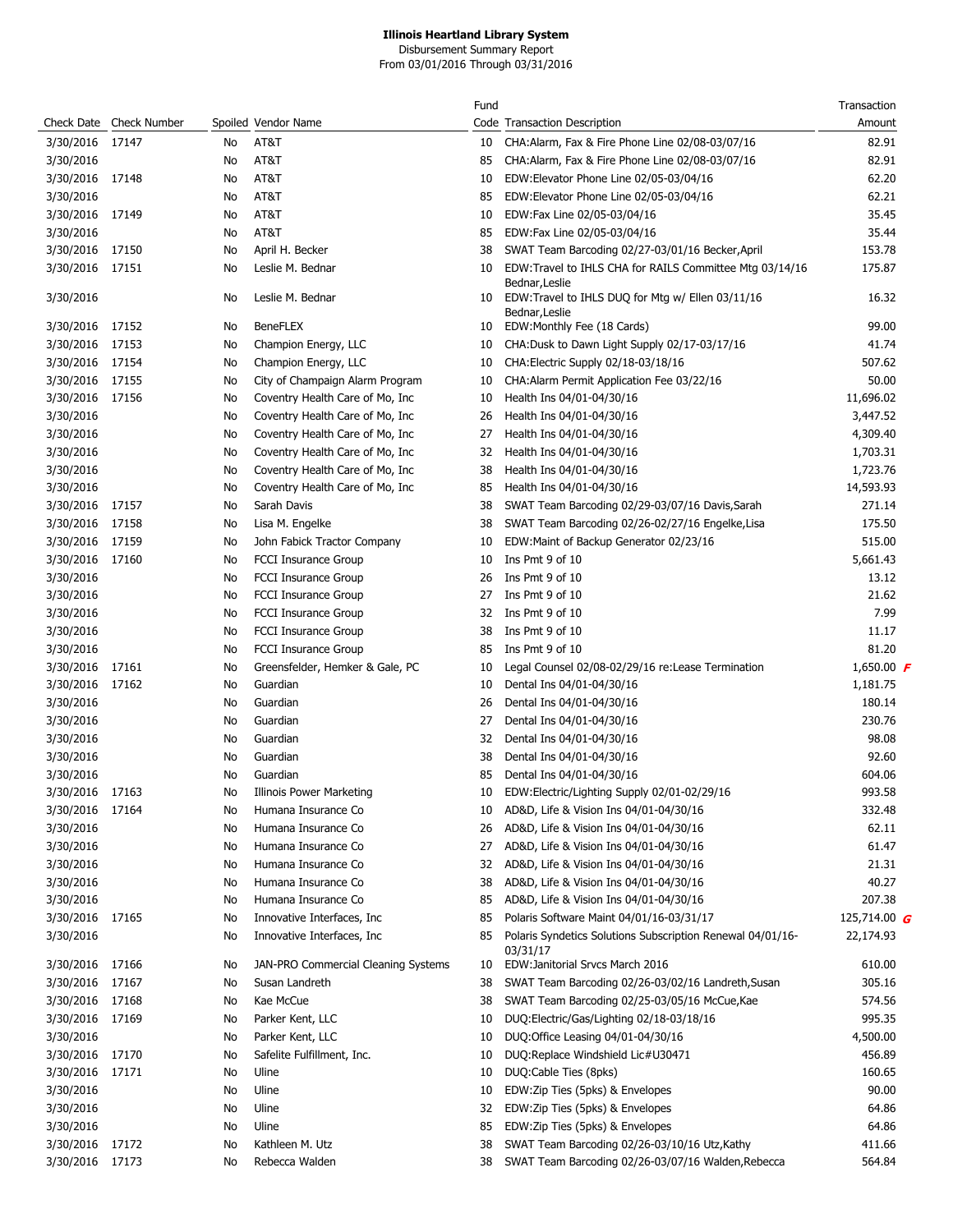Disbursement Summary Report From 03/01/2016 Through 03/31/2016

|            |                     |    |                                     | Fund |                                                                        | Transaction       |
|------------|---------------------|----|-------------------------------------|------|------------------------------------------------------------------------|-------------------|
| Check Date | <b>Check Number</b> |    | Spoiled Vendor Name                 |      | Code Transaction Description                                           | Amount            |
| 3/30/2016  | 17147               | No | AT&T                                | 10   | CHA:Alarm, Fax & Fire Phone Line 02/08-03/07/16                        | 82.91             |
| 3/30/2016  |                     | No | AT&T                                | 85   | CHA:Alarm, Fax & Fire Phone Line 02/08-03/07/16                        | 82.91             |
| 3/30/2016  | 17148               | No | AT&T                                | 10   | EDW:Elevator Phone Line 02/05-03/04/16                                 | 62.20             |
| 3/30/2016  |                     | No | AT&T                                | 85   | EDW:Elevator Phone Line 02/05-03/04/16                                 | 62.21             |
| 3/30/2016  | 17149               | No | AT&T                                | 10   | EDW:Fax Line 02/05-03/04/16                                            | 35.45             |
| 3/30/2016  |                     | No | AT&T                                | 85   | EDW:Fax Line 02/05-03/04/16                                            | 35.44             |
| 3/30/2016  | 17150               | No | April H. Becker                     | 38   | SWAT Team Barcoding 02/27-03/01/16 Becker, April                       | 153.78            |
| 3/30/2016  | 17151               | No | Leslie M. Bednar                    | 10   | EDW:Travel to IHLS CHA for RAILS Committee Mtg 03/14/16                | 175.87            |
| 3/30/2016  |                     | No | Leslie M. Bednar                    | 10   | Bednar, Leslie<br>EDW:Travel to IHLS DUQ for Mtg w/ Ellen 03/11/16     | 16.32             |
|            |                     |    |                                     |      | Bednar,Leslie                                                          |                   |
| 3/30/2016  | 17152               | No | <b>BeneFLEX</b>                     | 10   | EDW:Monthly Fee (18 Cards)                                             | 99.00             |
| 3/30/2016  | 17153               | No | Champion Energy, LLC                | 10   | CHA:Dusk to Dawn Light Supply 02/17-03/17/16                           | 41.74             |
| 3/30/2016  | 17154               | No | Champion Energy, LLC                | 10   | CHA: Electric Supply 02/18-03/18/16                                    | 507.62            |
| 3/30/2016  | 17155               | No | City of Champaign Alarm Program     | 10   | CHA: Alarm Permit Application Fee 03/22/16                             | 50.00             |
| 3/30/2016  | 17156               | No | Coventry Health Care of Mo, Inc     | 10   | Health Ins 04/01-04/30/16                                              | 11,696.02         |
| 3/30/2016  |                     | No | Coventry Health Care of Mo, Inc     | 26   | Health Ins 04/01-04/30/16                                              | 3,447.52          |
| 3/30/2016  |                     | No | Coventry Health Care of Mo, Inc     | 27   | Health Ins 04/01-04/30/16                                              | 4,309.40          |
| 3/30/2016  |                     | No | Coventry Health Care of Mo, Inc     | 32   | Health Ins 04/01-04/30/16                                              | 1,703.31          |
| 3/30/2016  |                     | No | Coventry Health Care of Mo, Inc     | 38   | Health Ins 04/01-04/30/16                                              | 1,723.76          |
| 3/30/2016  |                     | No | Coventry Health Care of Mo, Inc     | 85   | Health Ins 04/01-04/30/16                                              | 14,593.93         |
| 3/30/2016  | 17157               | No | Sarah Davis                         | 38   | SWAT Team Barcoding 02/29-03/07/16 Davis, Sarah                        | 271.14            |
| 3/30/2016  | 17158               | No | Lisa M. Engelke                     | 38   | SWAT Team Barcoding 02/26-02/27/16 Engelke, Lisa                       | 175.50            |
| 3/30/2016  | 17159               | No | John Fabick Tractor Company         | 10   | EDW:Maint of Backup Generator 02/23/16                                 | 515.00            |
|            |                     |    |                                     |      | Ins Pmt 9 of 10                                                        |                   |
| 3/30/2016  | 17160               | No | <b>FCCI Insurance Group</b>         | 10   |                                                                        | 5,661.43          |
| 3/30/2016  |                     | No | <b>FCCI Insurance Group</b>         | 26   | Ins Pmt 9 of 10                                                        | 13.12             |
| 3/30/2016  |                     | No | <b>FCCI Insurance Group</b>         | 27   | Ins Pmt 9 of 10                                                        | 21.62             |
| 3/30/2016  |                     | No | FCCI Insurance Group                | 32   | Ins Pmt 9 of 10                                                        | 7.99              |
| 3/30/2016  |                     | No | <b>FCCI Insurance Group</b>         | 38   | Ins Pmt 9 of 10                                                        | 11.17             |
| 3/30/2016  |                     | No | <b>FCCI Insurance Group</b>         | 85   | Ins Pmt 9 of 10                                                        | 81.20             |
| 3/30/2016  | 17161               | No | Greensfelder, Hemker & Gale, PC     | 10   | Legal Counsel 02/08-02/29/16 re:Lease Termination                      | 1,650.00 $\bm{F}$ |
| 3/30/2016  | 17162               | No | Guardian                            | 10   | Dental Ins 04/01-04/30/16                                              | 1,181.75          |
| 3/30/2016  |                     | No | Guardian                            | 26   | Dental Ins 04/01-04/30/16                                              | 180.14            |
| 3/30/2016  |                     | No | Guardian                            | 27   | Dental Ins 04/01-04/30/16                                              | 230.76            |
| 3/30/2016  |                     | No | Guardian                            | 32   | Dental Ins 04/01-04/30/16                                              | 98.08             |
| 3/30/2016  |                     | No | Guardian                            | 38   | Dental Ins 04/01-04/30/16                                              | 92.60             |
| 3/30/2016  |                     | No | Guardian                            | 85   | Dental Ins 04/01-04/30/16                                              | 604.06            |
| 3/30/2016  | 17163               | No | Illinois Power Marketing            | 10   | EDW:Electric/Lighting Supply 02/01-02/29/16                            | 993.58            |
| 3/30/2016  | 17164               | No | Humana Insurance Co                 | 10   | AD&D, Life & Vision Ins 04/01-04/30/16                                 | 332.48            |
| 3/30/2016  |                     | No | Humana Insurance Co                 | 26   | AD&D, Life & Vision Ins 04/01-04/30/16                                 | 62.11             |
| 3/30/2016  |                     | No | Humana Insurance Co                 | 27   | AD&D, Life & Vision Ins 04/01-04/30/16                                 | 61.47             |
| 3/30/2016  |                     | No | Humana Insurance Co                 | 32   | AD&D, Life & Vision Ins 04/01-04/30/16                                 | 21.31             |
| 3/30/2016  |                     | No | Humana Insurance Co                 | 38   | AD&D, Life & Vision Ins 04/01-04/30/16                                 | 40.27             |
| 3/30/2016  |                     | No | Humana Insurance Co                 | 85   | AD&D, Life & Vision Ins 04/01-04/30/16                                 | 207.38            |
| 3/30/2016  | 17165               | No | Innovative Interfaces, Inc.         | 85   | Polaris Software Maint 04/01/16-03/31/17                               | 125,714.00 G      |
| 3/30/2016  |                     | No | Innovative Interfaces, Inc.         | 85   | Polaris Syndetics Solutions Subscription Renewal 04/01/16-<br>03/31/17 | 22,174.93         |
| 3/30/2016  | 17166               | No | JAN-PRO Commercial Cleaning Systems | 10   | EDW: Janitorial Srvcs March 2016                                       | 610.00            |
| 3/30/2016  | 17167               | No | Susan Landreth                      | 38   | SWAT Team Barcoding 02/26-03/02/16 Landreth, Susan                     | 305.16            |
| 3/30/2016  | 17168               | No | Kae McCue                           | 38   | SWAT Team Barcoding 02/25-03/05/16 McCue, Kae                          | 574.56            |
| 3/30/2016  | 17169               | No | Parker Kent, LLC                    | 10   | DUQ:Electric/Gas/Lighting 02/18-03/18/16                               | 995.35            |
| 3/30/2016  |                     | No | Parker Kent, LLC                    | 10   | DUQ: Office Leasing 04/01-04/30/16                                     | 4,500.00          |
| 3/30/2016  | 17170               | No | Safelite Fulfillment, Inc.          | 10   | DUQ:Replace Windshield Lic#U30471                                      | 456.89            |
| 3/30/2016  | 17171               | No | Uline                               | 10   | DUQ:Cable Ties (8pks)                                                  | 160.65            |
|            |                     |    | Uline                               | 10   |                                                                        | 90.00             |
| 3/30/2016  |                     | No |                                     |      | EDW:Zip Ties (5pks) & Envelopes                                        |                   |
| 3/30/2016  |                     | No | Uline                               | 32   | EDW:Zip Ties (5pks) & Envelopes                                        | 64.86             |
| 3/30/2016  |                     | No | Uline                               | 85   | EDW:Zip Ties (5pks) & Envelopes                                        | 64.86             |
| 3/30/2016  | 17172               | No | Kathleen M. Utz                     | 38   | SWAT Team Barcoding 02/26-03/10/16 Utz, Kathy                          | 411.66            |
| 3/30/2016  | 17173               | No | Rebecca Walden                      | 38   | SWAT Team Barcoding 02/26-03/07/16 Walden, Rebecca                     | 564.84            |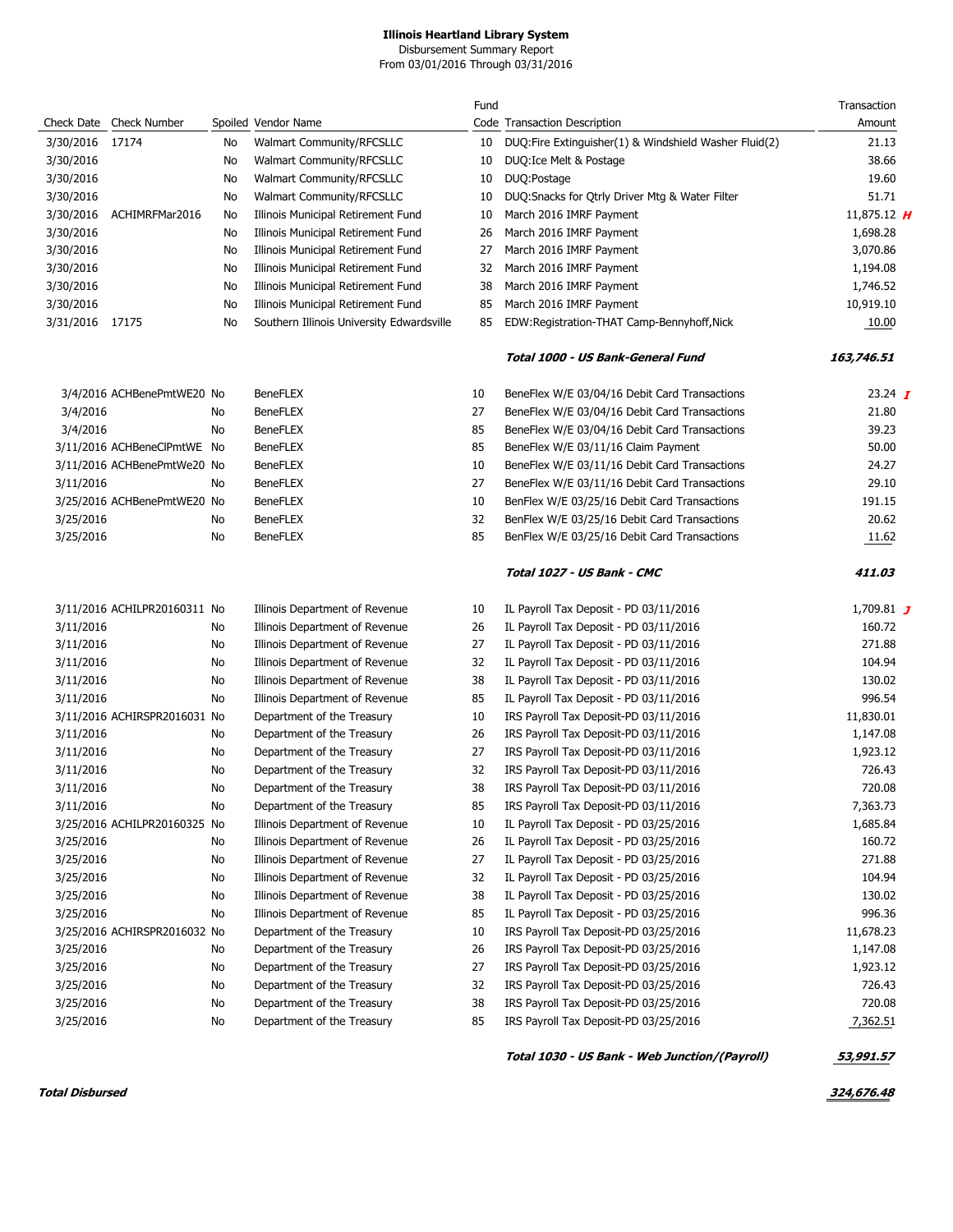Disbursement Summary Report From 03/01/2016 Through 03/31/2016

|                 |                              |    |                                           | Fund |                                                       | Transaction    |
|-----------------|------------------------------|----|-------------------------------------------|------|-------------------------------------------------------|----------------|
|                 | Check Date Check Number      |    | Spoiled Vendor Name                       |      | Code Transaction Description                          | Amount         |
| 3/30/2016       | 17174                        | No | Walmart Community/RFCSLLC                 | 10   | DUQ:Fire Extinguisher(1) & Windshield Washer Fluid(2) | 21.13          |
| 3/30/2016       |                              | No | <b>Walmart Community/RFCSLLC</b>          | 10   | DUQ: Ice Melt & Postage                               | 38.66          |
| 3/30/2016       |                              | No | Walmart Community/RFCSLLC                 | 10   | DUQ:Postage                                           | 19.60          |
| 3/30/2016       |                              | No | Walmart Community/RFCSLLC                 | 10   | DUQ: Snacks for Qtrly Driver Mtg & Water Filter       | 51.71          |
| 3/30/2016       | ACHIMRFMar2016               | No | Illinois Municipal Retirement Fund        | 10   | March 2016 IMRF Payment                               | 11,875.12 $H$  |
| 3/30/2016       |                              | No | Illinois Municipal Retirement Fund        | 26   | March 2016 IMRF Payment                               | 1,698.28       |
| 3/30/2016       |                              | No | Illinois Municipal Retirement Fund        | 27   | March 2016 IMRF Payment                               | 3,070.86       |
| 3/30/2016       |                              | No | Illinois Municipal Retirement Fund        | 32   | March 2016 IMRF Payment                               | 1,194.08       |
| 3/30/2016       |                              | No | Illinois Municipal Retirement Fund        | 38   | March 2016 IMRF Payment                               | 1,746.52       |
| 3/30/2016       |                              | No | Illinois Municipal Retirement Fund        | 85   | March 2016 IMRF Payment                               | 10,919.10      |
| 3/31/2016 17175 |                              | No | Southern Illinois University Edwardsville | 85   | EDW:Registration-THAT Camp-Bennyhoff, Nick            | 10.00          |
|                 |                              |    |                                           |      | Total 1000 - US Bank-General Fund                     | 163,746.51     |
|                 | 3/4/2016 ACHBenePmtWE20 No   |    | <b>BeneFLEX</b>                           | 10   | BeneFlex W/E 03/04/16 Debit Card Transactions         | 23.24 $\bm{I}$ |
| 3/4/2016        |                              | No | <b>BeneFLEX</b>                           | 27   | BeneFlex W/E 03/04/16 Debit Card Transactions         | 21.80          |
| 3/4/2016        |                              | No | <b>BeneFLEX</b>                           | 85   | BeneFlex W/E 03/04/16 Debit Card Transactions         | 39.23          |
|                 | 3/11/2016 ACHBeneClPmtWE No  |    | <b>BeneFLEX</b>                           | 85   | BeneFlex W/E 03/11/16 Claim Payment                   | 50.00          |
|                 | 3/11/2016 ACHBenePmtWe20 No  |    | <b>BeneFLEX</b>                           | 10   | BeneFlex W/E 03/11/16 Debit Card Transactions         | 24.27          |
| 3/11/2016       |                              | No | <b>BeneFLEX</b>                           | 27   | BeneFlex W/E 03/11/16 Debit Card Transactions         | 29.10          |
|                 | 3/25/2016 ACHBenePmtWE20 No  |    | <b>BeneFLEX</b>                           | 10   | BenFlex W/E 03/25/16 Debit Card Transactions          | 191.15         |
| 3/25/2016       |                              | No | <b>BeneFLEX</b>                           | 32   | BenFlex W/E 03/25/16 Debit Card Transactions          | 20.62          |
| 3/25/2016       |                              | No | <b>BeneFLEX</b>                           | 85   | BenFlex W/E 03/25/16 Debit Card Transactions          | 11.62          |
|                 |                              |    |                                           |      | Total 1027 - US Bank - CMC                            | 411.03         |
|                 | 3/11/2016 ACHILPR20160311 No |    | Illinois Department of Revenue            | 10   | IL Payroll Tax Deposit - PD 03/11/2016                | 1,709.81 $J$   |
| 3/11/2016       |                              | No | Illinois Department of Revenue            | 26   | IL Payroll Tax Deposit - PD 03/11/2016                | 160.72         |
| 3/11/2016       |                              | No | Illinois Department of Revenue            | 27   | IL Payroll Tax Deposit - PD 03/11/2016                | 271.88         |
| 3/11/2016       |                              | No | Illinois Department of Revenue            | 32   | IL Payroll Tax Deposit - PD 03/11/2016                | 104.94         |
| 3/11/2016       |                              | No | Illinois Department of Revenue            | 38   | IL Payroll Tax Deposit - PD 03/11/2016                | 130.02         |
| 3/11/2016       |                              | No | Illinois Department of Revenue            | 85   | IL Payroll Tax Deposit - PD 03/11/2016                | 996.54         |
|                 | 3/11/2016 ACHIRSPR2016031 No |    | Department of the Treasury                | 10   | IRS Payroll Tax Deposit-PD 03/11/2016                 | 11,830.01      |
| 3/11/2016       |                              | No | Department of the Treasury                | 26   | IRS Payroll Tax Deposit-PD 03/11/2016                 | 1,147.08       |
| 3/11/2016       |                              | No | Department of the Treasury                | 27   | IRS Payroll Tax Deposit-PD 03/11/2016                 | 1,923.12       |
| 3/11/2016       |                              | No | Department of the Treasury                | 32   | IRS Payroll Tax Deposit-PD 03/11/2016                 | 726.43         |
| 3/11/2016       |                              | No | Department of the Treasury                | 38   | IRS Payroll Tax Deposit-PD 03/11/2016                 | 720.08         |
| 3/11/2016       |                              | No | Department of the Treasury                | 85   | IRS Payroll Tax Deposit-PD 03/11/2016                 | 7,363.73       |
|                 | 3/25/2016 ACHILPR20160325 No |    | Illinois Department of Revenue            | 10   | IL Payroll Tax Deposit - PD 03/25/2016                | 1,685.84       |
| 3/25/2016       |                              | No | Illinois Department of Revenue            | 26   | IL Payroll Tax Deposit - PD 03/25/2016                | 160.72         |
| 3/25/2016       |                              | No | Illinois Department of Revenue            | 27   | IL Payroll Tax Deposit - PD 03/25/2016                | 271.88         |
| 3/25/2016       |                              | No | Illinois Department of Revenue            | 32   | IL Payroll Tax Deposit - PD 03/25/2016                | 104.94         |
| 3/25/2016       |                              | No | Illinois Department of Revenue            | 38   | IL Payroll Tax Deposit - PD 03/25/2016                | 130.02         |
| 3/25/2016       |                              | No | Illinois Department of Revenue            | 85   | IL Payroll Tax Deposit - PD 03/25/2016                | 996.36         |
|                 | 3/25/2016 ACHIRSPR2016032 No |    | Department of the Treasury                | 10   | IRS Payroll Tax Deposit-PD 03/25/2016                 | 11,678.23      |
| 3/25/2016       |                              | No | Department of the Treasury                | 26   | IRS Payroll Tax Deposit-PD 03/25/2016                 | 1,147.08       |
| 3/25/2016       |                              | No | Department of the Treasury                | 27   | IRS Payroll Tax Deposit-PD 03/25/2016                 | 1,923.12       |
| 3/25/2016       |                              | No | Department of the Treasury                | 32   | IRS Payroll Tax Deposit-PD 03/25/2016                 | 726.43         |
| 3/25/2016       |                              | No | Department of the Treasury                | 38   | IRS Payroll Tax Deposit-PD 03/25/2016                 | 720.08         |
| 3/25/2016       |                              | No | Department of the Treasury                | 85   | IRS Payroll Tax Deposit-PD 03/25/2016                 | 7,362.51       |

**Total 1030 - US Bank - Web Junction/(Payroll) 53,991.57** 

**Total Disbursed 324,676.48**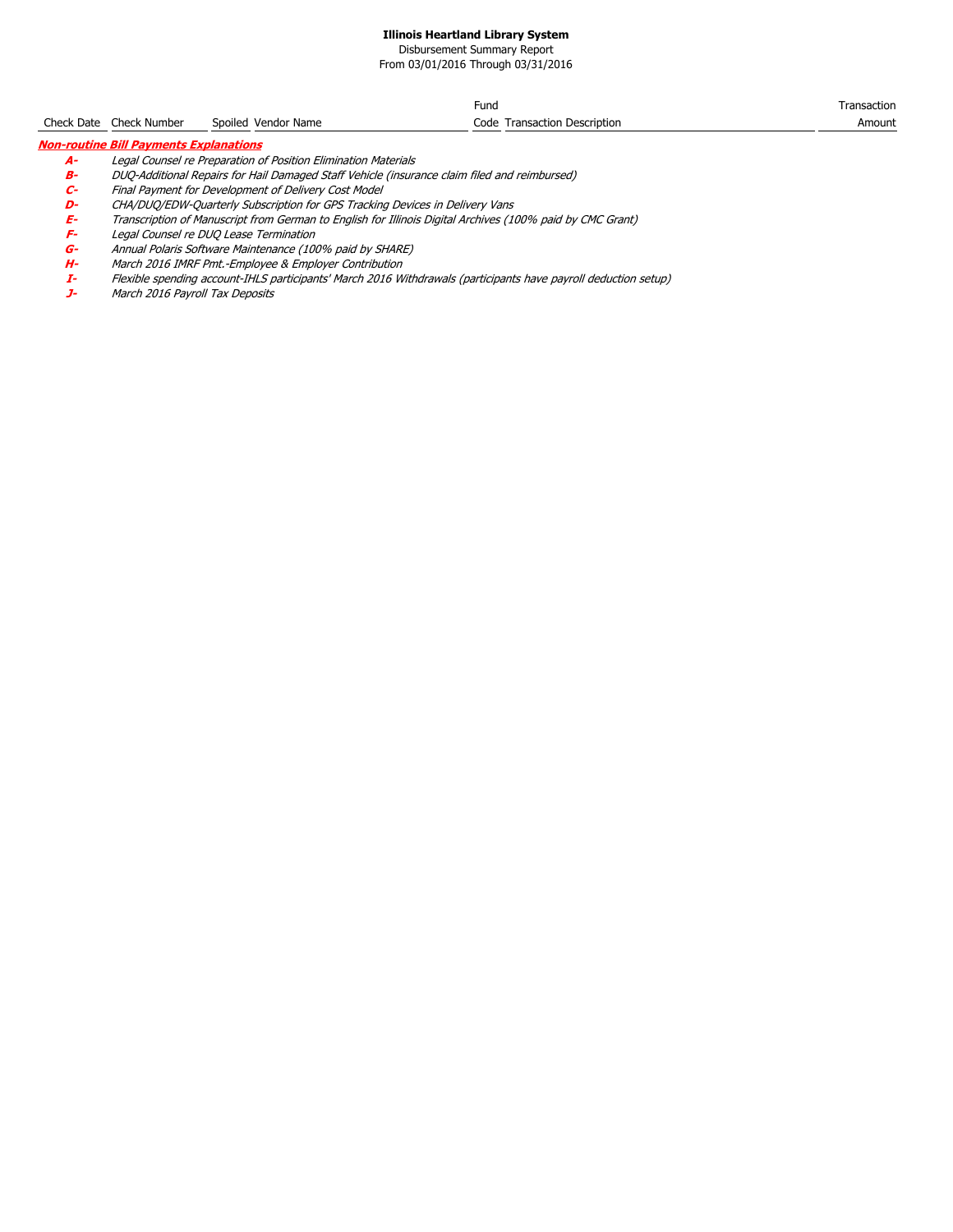Disbursement Summary Report From 03/01/2016 Through 03/31/2016

Check Date Check Number Spoiled Vendor Name Fund Code Transaction Description Transaction Amount **Non-routine Bill Payments Explanations**

**A-** Legal Counsel re Preparation of Position Elimination Materials

**B-** DUQ-Additional Repairs for Hail Damaged Staff Vehicle (insurance claim filed and reimbursed)

**C-** Final Payment for Development of Delivery Cost Model

**D-** CHA/DUQ/EDW-Quarterly Subscription for GPS Tracking Devices in Delivery Vans **E-** Transcription of Manuscript from German to English for Illinois Digital Archives (100% paid by CMC Grant)

**F-** Legal Counsel re DUQ Lease Termination **G-** Annual Polaris Software Maintenance (100% paid by SHARE)

March 2016 IMRF Pmt.-Employee & Employer Contribution

**I-** Flexible spending account-IHLS participants' March 2016 Withdrawals (participants have payroll deduction setup)

March 2016 Payroll Tax Deposits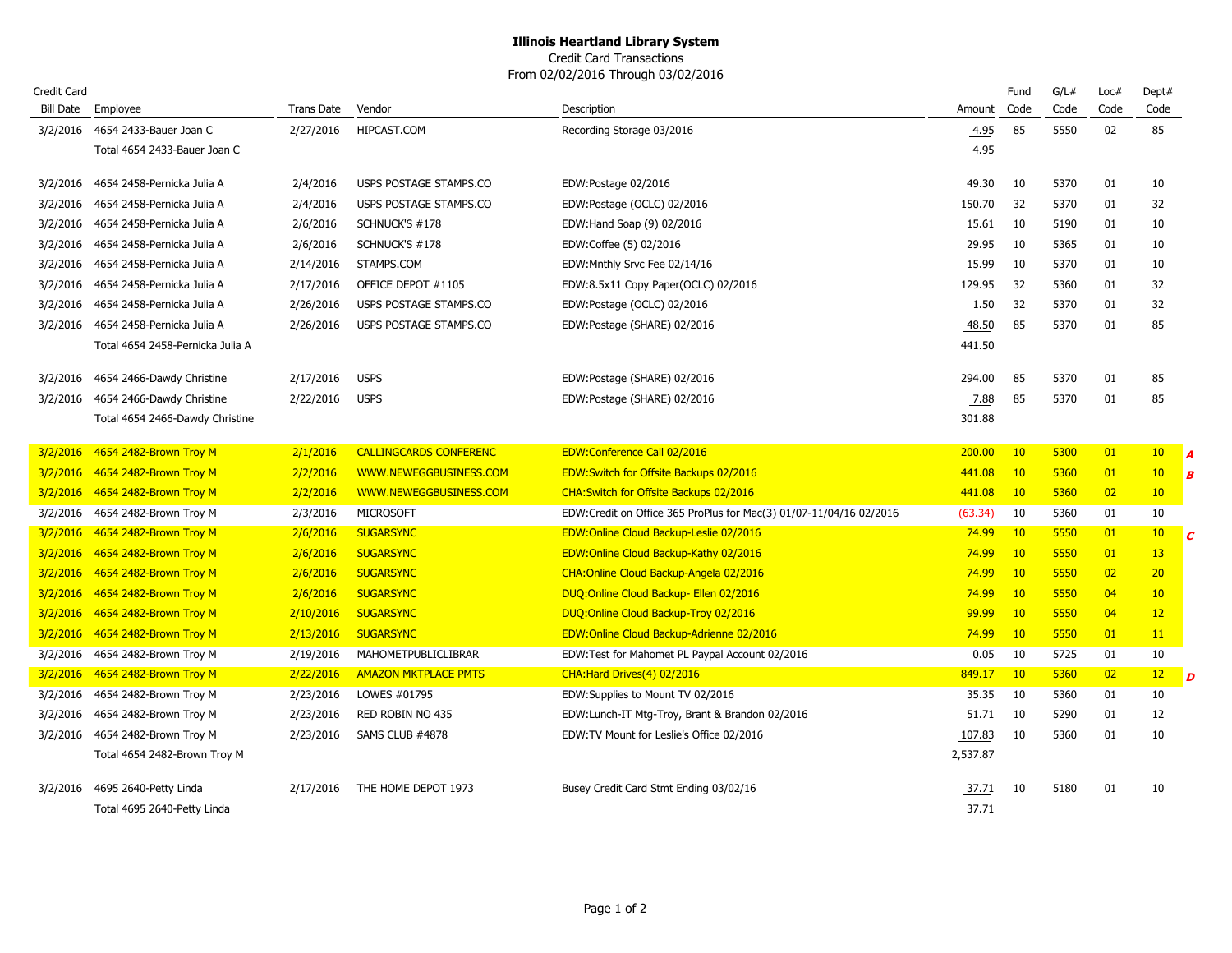Credit Card Transactions From 02/02/2016 Through 03/02/2016

| Credit Card      |                                  |            |                               |                                                                    |          | Fund | G/L# | Loc# | Dept#           |            |
|------------------|----------------------------------|------------|-------------------------------|--------------------------------------------------------------------|----------|------|------|------|-----------------|------------|
| <b>Bill Date</b> | Employee                         | Trans Date | Vendor                        | Description                                                        | Amount   | Code | Code | Code | Code            |            |
| 3/2/2016         | 4654 2433-Bauer Joan C           | 2/27/2016  | HIPCAST.COM                   | Recording Storage 03/2016                                          | 4.95     | 85   | 5550 | 02   | 85              |            |
|                  | Total 4654 2433-Bauer Joan C     |            |                               |                                                                    | 4.95     |      |      |      |                 |            |
| 3/2/2016         | 4654 2458-Pernicka Julia A       | 2/4/2016   | USPS POSTAGE STAMPS.CO        | EDW:Postage 02/2016                                                | 49.30    | 10   | 5370 | 01   | 10              |            |
| 3/2/2016         | 4654 2458-Pernicka Julia A       | 2/4/2016   | USPS POSTAGE STAMPS.CO        | EDW:Postage (OCLC) 02/2016                                         | 150.70   | 32   | 5370 | 01   | 32              |            |
| 3/2/2016         | 4654 2458-Pernicka Julia A       | 2/6/2016   | SCHNUCK'S #178                | EDW: Hand Soap (9) 02/2016                                         | 15.61    | 10   | 5190 | 01   | 10              |            |
| 3/2/2016         | 4654 2458-Pernicka Julia A       | 2/6/2016   | SCHNUCK'S #178                | EDW:Coffee (5) 02/2016                                             | 29.95    | 10   | 5365 | 01   | 10              |            |
| 3/2/2016         | 4654 2458-Pernicka Julia A       | 2/14/2016  | STAMPS.COM                    | EDW: Mnthly Srvc Fee 02/14/16                                      | 15.99    | 10   | 5370 | 01   | 10              |            |
| 3/2/2016         | 4654 2458-Pernicka Julia A       | 2/17/2016  | OFFICE DEPOT #1105            | EDW:8.5x11 Copy Paper(OCLC) 02/2016                                | 129.95   | 32   | 5360 | 01   | 32              |            |
| 3/2/2016         | 4654 2458-Pernicka Julia A       | 2/26/2016  | USPS POSTAGE STAMPS.CO        | EDW:Postage (OCLC) 02/2016                                         | 1.50     | 32   | 5370 | 01   | 32              |            |
| 3/2/2016         | 4654 2458-Pernicka Julia A       | 2/26/2016  | USPS POSTAGE STAMPS.CO        | EDW:Postage (SHARE) 02/2016                                        | 48.50    | 85   | 5370 | 01   | 85              |            |
|                  | Total 4654 2458-Pernicka Julia A |            |                               |                                                                    | 441.50   |      |      |      |                 |            |
| 3/2/2016         | 4654 2466-Dawdy Christine        | 2/17/2016  | <b>USPS</b>                   | EDW:Postage (SHARE) 02/2016                                        | 294.00   | 85   | 5370 | 01   | 85              |            |
| 3/2/2016         | 4654 2466-Dawdy Christine        | 2/22/2016  | <b>USPS</b>                   | EDW:Postage (SHARE) 02/2016                                        | 7.88     | 85   | 5370 | 01   | 85              |            |
|                  | Total 4654 2466-Dawdy Christine  |            |                               |                                                                    | 301.88   |      |      |      |                 |            |
|                  |                                  |            |                               |                                                                    |          |      |      |      |                 |            |
| 3/2/2016         | 4654 2482-Brown Troy M           | 2/1/2016   | <b>CALLINGCARDS CONFERENC</b> | EDW:Conference Call 02/2016                                        | 200,00   | 10   | 5300 | 01   | 10 <sub>1</sub> | l A        |
| 3/2/2016         | 4654 2482-Brown Troy M           | 2/2/2016   | WWW.NEWEGGBUSINESS.COM        | EDW:Switch for Offsite Backups 02/2016                             | 441.08   | 10   | 5360 | 01   | 10              | B          |
| 3/2/2016         | 4654 2482-Brown Troy M           | 2/2/2016   | WWW.NEWEGGBUSINESS.COM        | CHA: Switch for Offsite Backups 02/2016                            | 441.08   | 10   | 5360 | 02   | 10              |            |
| 3/2/2016         | 4654 2482-Brown Troy M           | 2/3/2016   | <b>MICROSOFT</b>              | EDW:Credit on Office 365 ProPlus for Mac(3) 01/07-11/04/16 02/2016 | (63.34)  | 10   | 5360 | 01   | 10              |            |
| 3/2/2016         | 4654 2482-Brown Troy M           | 2/6/2016   | <b>SUGARSYNC</b>              | EDW:Online Cloud Backup-Leslie 02/2016                             | 74.99    | 10   | 5550 | 01   | 10              | $\epsilon$ |
| 3/2/2016         | 4654 2482-Brown Troy M           | 2/6/2016   | <b>SUGARSYNC</b>              | EDW:Online Cloud Backup-Kathy 02/2016                              | 74.99    | 10   | 5550 | 01   | 13              |            |
| 3/2/2016         | 4654 2482-Brown Troy M           | 2/6/2016   | <b>SUGARSYNC</b>              | CHA:Online Cloud Backup-Angela 02/2016                             | 74.99    | 10   | 5550 | 02   | 20              |            |
| 3/2/2016         | 4654 2482-Brown Troy M           | 2/6/2016   | <b>SUGARSYNC</b>              | DUQ: Online Cloud Backup- Ellen 02/2016                            | 74.99    | 10   | 5550 | 04   | 10              |            |
| 3/2/2016         | 4654 2482-Brown Troy M           | 2/10/2016  | <b>SUGARSYNC</b>              | DUQ: Online Cloud Backup-Troy 02/2016                              | 99.99    | 10   | 5550 | 04   | 12              |            |
| 3/2/2016         | 4654 2482-Brown Troy M           | 2/13/2016  | <b>SUGARSYNC</b>              | EDW:Online Cloud Backup-Adrienne 02/2016                           | 74.99    | 10   | 5550 | 01   | 11              |            |
| 3/2/2016         | 4654 2482-Brown Troy M           | 2/19/2016  | MAHOMETPUBLICLIBRAR           | EDW: Test for Mahomet PL Paypal Account 02/2016                    | 0.05     | 10   | 5725 | 01   | 10              |            |
| 3/2/2016         | 4654 2482-Brown Troy M           | 2/22/2016  | <b>AMAZON MKTPLACE PMTS</b>   | CHA: Hard Drives (4) 02/2016                                       | 849.17   | 10   | 5360 | 02   | 12              | D          |
| 3/2/2016         | 4654 2482-Brown Troy M           | 2/23/2016  | LOWES #01795                  | EDW:Supplies to Mount TV 02/2016                                   | 35.35    | 10   | 5360 | 01   | 10              |            |
| 3/2/2016         | 4654 2482-Brown Troy M           | 2/23/2016  | RED ROBIN NO 435              | EDW: Lunch-IT Mtg-Troy, Brant & Brandon 02/2016                    | 51.71    | -10  | 5290 | 01   | 12              |            |
| 3/2/2016         | 4654 2482-Brown Troy M           | 2/23/2016  | SAMS CLUB #4878               | EDW:TV Mount for Leslie's Office 02/2016                           | 107.83   | 10   | 5360 | 01   | 10              |            |
|                  | Total 4654 2482-Brown Troy M     |            |                               |                                                                    | 2,537.87 |      |      |      |                 |            |
| 3/2/2016         | 4695 2640-Petty Linda            | 2/17/2016  | THE HOME DEPOT 1973           | Busey Credit Card Stmt Ending 03/02/16                             | 37.71    | 10   | 5180 | 01   | 10              |            |
|                  | Total 4695 2640-Petty Linda      |            |                               |                                                                    | 37.71    |      |      |      |                 |            |